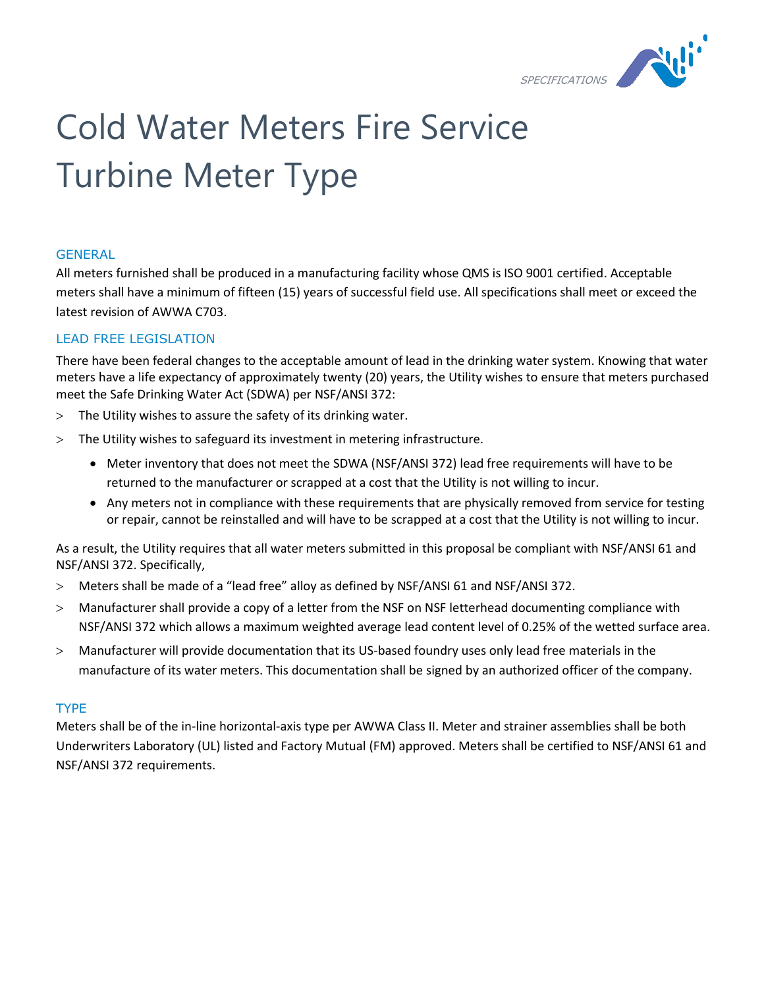

# Cold Water Meters Fire Service Turbine Meter Type

# **GENERAL**

All meters furnished shall be produced in a manufacturing facility whose QMS is ISO 9001 certified. Acceptable meters shall have a minimum of fifteen (15) years of successful field use. All specifications shall meet or exceed the latest revision of AWWA C703.

# LEAD FREE LEGISLATION

There have been federal changes to the acceptable amount of lead in the drinking water system. Knowing that water meters have a life expectancy of approximately twenty (20) years, the Utility wishes to ensure that meters purchased meet the Safe Drinking Water Act (SDWA) per NSF/ANSI 372:

- The Utility wishes to assure the safety of its drinking water.
- The Utility wishes to safeguard its investment in metering infrastructure.
	- Meter inventory that does not meet the SDWA (NSF/ANSI 372) lead free requirements will have to be returned to the manufacturer or scrapped at a cost that the Utility is not willing to incur.
	- Any meters not in compliance with these requirements that are physically removed from service for testing or repair, cannot be reinstalled and will have to be scrapped at a cost that the Utility is not willing to incur.

As a result, the Utility requires that all water meters submitted in this proposal be compliant with NSF/ANSI 61 and NSF/ANSI 372. Specifically,

- Meters shall be made of a "lead free" alloy as defined by NSF/ANSI 61 and NSF/ANSI 372.
- Manufacturer shall provide a copy of a letter from the NSF on NSF letterhead documenting compliance with NSF/ANSI 372 which allows a maximum weighted average lead content level of 0.25% of the wetted surface area.
- Manufacturer will provide documentation that its US-based foundry uses only lead free materials in the manufacture of its water meters. This documentation shall be signed by an authorized officer of the company.

# TYPE

Meters shall be of the in-line horizontal-axis type per AWWA Class II. Meter and strainer assemblies shall be both Underwriters Laboratory (UL) listed and Factory Mutual (FM) approved. Meters shall be certified to NSF/ANSI 61 and NSF/ANSI 372 requirements.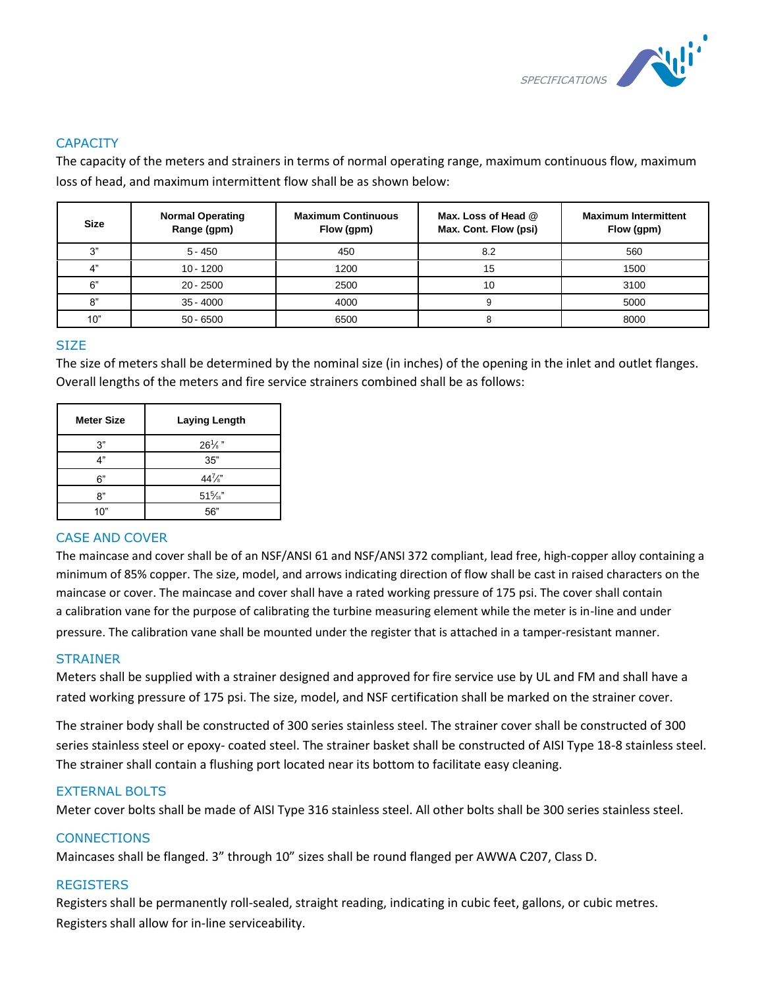

# **CAPACITY**

The capacity of the meters and strainers in terms of normal operating range, maximum continuous flow, maximum loss of head, and maximum intermittent flow shall be as shown below:

| <b>Size</b> | <b>Normal Operating</b><br>Range (gpm) | <b>Maximum Continuous</b><br>Flow (gpm) | Max. Loss of Head @<br>Max. Cont. Flow (psi) | <b>Maximum Intermittent</b><br>Flow (gpm) |
|-------------|----------------------------------------|-----------------------------------------|----------------------------------------------|-------------------------------------------|
| ري-         | $5 - 450$                              | 450                                     | 8.2                                          | 560                                       |
|             | $10 - 1200$                            | 1200                                    | 15                                           | 1500                                      |
| 6"          | $20 - 2500$                            | 2500                                    | 10                                           | 3100                                      |
| 8"          | $35 - 4000$                            | 4000                                    |                                              | 5000                                      |
| 10"         | $50 - 6500$                            | 6500                                    |                                              | 8000                                      |

# **SIZE**

The size of meters shall be determined by the nominal size (in inches) of the opening in the inlet and outlet flanges. Overall lengths of the meters and fire service strainers combined shall be as follows:

| <b>Meter Size</b> | <b>Laying Length</b> |  |
|-------------------|----------------------|--|
| 3"                | $26\frac{1}{8}$ "    |  |
| 4"                | 35"                  |  |
| ና"                | $44\frac{7}{8}$      |  |
| יא                | $51\frac{5}{16}$     |  |
| 10"               | 56"                  |  |

# CASE AND COVER

The maincase and cover shall be of an NSF/ANSI 61 and NSF/ANSI 372 compliant, lead free, high-copper alloy containing a minimum of 85% copper. The size, model, and arrows indicating direction of flow shall be cast in raised characters on the maincase or cover. The maincase and cover shall have a rated working pressure of 175 psi. The cover shall contain a calibration vane for the purpose of calibrating the turbine measuring element while the meter is in-line and under pressure. The calibration vane shall be mounted under the register that is attached in a tamper-resistant manner.

# **STRAINER**

Meters shall be supplied with a strainer designed and approved for fire service use by UL and FM and shall have a rated working pressure of 175 psi. The size, model, and NSF certification shall be marked on the strainer cover.

The strainer body shall be constructed of 300 series stainless steel. The strainer cover shall be constructed of 300 series stainless steel or epoxy- coated steel. The strainer basket shall be constructed of AISI Type 18-8 stainless steel. The strainer shall contain a flushing port located near its bottom to facilitate easy cleaning.

# EXTERNAL BOLTS

Meter cover bolts shall be made of AISI Type 316 stainless steel. All other bolts shall be 300 series stainless steel.

# **CONNECTIONS**

Maincases shall be flanged. 3" through 10" sizes shall be round flanged per AWWA C207, Class D.

# **REGISTERS**

Registers shall be permanently roll-sealed, straight reading, indicating in cubic feet, gallons, or cubic metres. Registers shall allow for in-line serviceability.